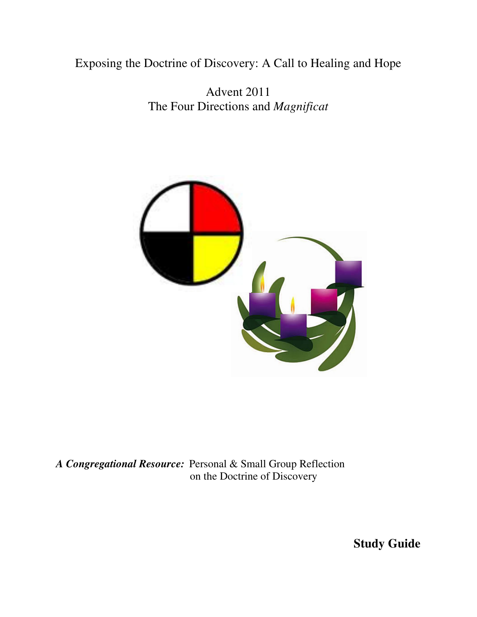Exposing the Doctrine of Discovery: A Call to Healing and Hope

Advent 2011 The Four Directions and *Magnificat*



*A Congregational Resource:* Personal & Small Group Reflection on the Doctrine of Discovery

**Study Guide**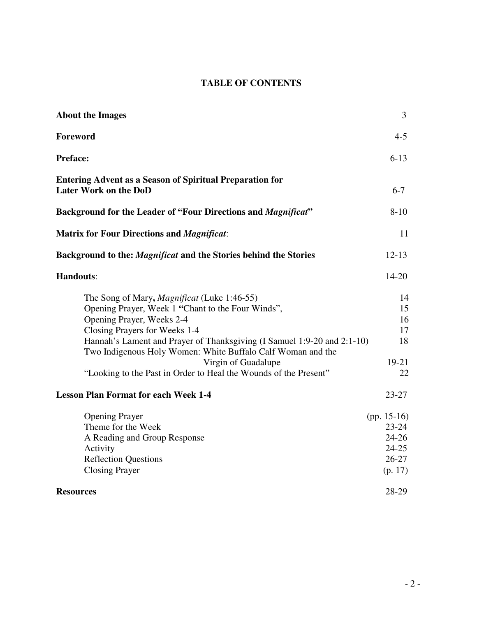# **TABLE OF CONTENTS**

| <b>About the Images</b>                                                                                                                                                                                                                                                                                                                                                                                    | 3                                                                             |
|------------------------------------------------------------------------------------------------------------------------------------------------------------------------------------------------------------------------------------------------------------------------------------------------------------------------------------------------------------------------------------------------------------|-------------------------------------------------------------------------------|
| Foreword                                                                                                                                                                                                                                                                                                                                                                                                   | $4 - 5$                                                                       |
| <b>Preface:</b>                                                                                                                                                                                                                                                                                                                                                                                            | $6 - 13$                                                                      |
| <b>Entering Advent as a Season of Spiritual Preparation for</b><br><b>Later Work on the DoD</b>                                                                                                                                                                                                                                                                                                            | $6 - 7$                                                                       |
| <b>Background for the Leader of "Four Directions and Magnificat"</b>                                                                                                                                                                                                                                                                                                                                       | $8 - 10$                                                                      |
| <b>Matrix for Four Directions and Magnificat:</b>                                                                                                                                                                                                                                                                                                                                                          | 11                                                                            |
| Background to the: <i>Magnificat</i> and the Stories behind the Stories                                                                                                                                                                                                                                                                                                                                    | $12 - 13$                                                                     |
| <b>Handouts:</b>                                                                                                                                                                                                                                                                                                                                                                                           | $14 - 20$                                                                     |
| The Song of Mary, <i>Magnificat</i> (Luke 1:46-55)<br>Opening Prayer, Week 1 "Chant to the Four Winds",<br>Opening Prayer, Weeks 2-4<br>Closing Prayers for Weeks 1-4<br>Hannah's Lament and Prayer of Thanksgiving (I Samuel 1:9-20 and 2:1-10)<br>Two Indigenous Holy Women: White Buffalo Calf Woman and the<br>Virgin of Guadalupe<br>"Looking to the Past in Order to Heal the Wounds of the Present" | 14<br>15<br>16<br>17<br>18<br>$19-21$<br>22                                   |
| <b>Lesson Plan Format for each Week 1-4</b>                                                                                                                                                                                                                                                                                                                                                                | $23 - 27$                                                                     |
| <b>Opening Prayer</b><br>Theme for the Week<br>A Reading and Group Response<br>Activity<br><b>Reflection Questions</b><br><b>Closing Prayer</b>                                                                                                                                                                                                                                                            | (pp. $15-16$ )<br>$23 - 24$<br>$24 - 26$<br>$24 - 25$<br>$26 - 27$<br>(p. 17) |
| <b>Resources</b>                                                                                                                                                                                                                                                                                                                                                                                           | 28-29                                                                         |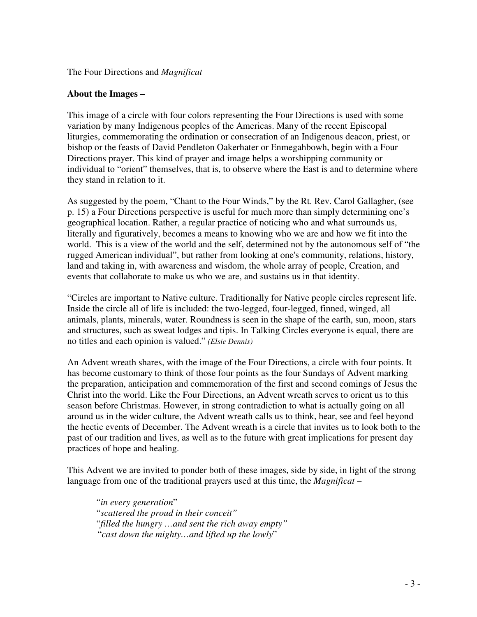### The Four Directions and *Magnificat*

### **About the Images –**

This image of a circle with four colors representing the Four Directions is used with some variation by many Indigenous peoples of the Americas. Many of the recent Episcopal liturgies, commemorating the ordination or consecration of an Indigenous deacon, priest, or bishop or the feasts of David Pendleton Oakerhater or Enmegahbowh, begin with a Four Directions prayer. This kind of prayer and image helps a worshipping community or individual to "orient" themselves, that is, to observe where the East is and to determine where they stand in relation to it.

As suggested by the poem, "Chant to the Four Winds," by the Rt. Rev. Carol Gallagher, (see p. 15) a Four Directions perspective is useful for much more than simply determining one's geographical location. Rather, a regular practice of noticing who and what surrounds us, literally and figuratively, becomes a means to knowing who we are and how we fit into the world. This is a view of the world and the self, determined not by the autonomous self of "the rugged American individual", but rather from looking at one's community, relations, history, land and taking in, with awareness and wisdom, the whole array of people, Creation, and events that collaborate to make us who we are, and sustains us in that identity.

"Circles are important to Native culture. Traditionally for Native people circles represent life. Inside the circle all of life is included: the two-legged, four-legged, finned, winged, all animals, plants, minerals, water. Roundness is seen in the shape of the earth, sun, moon, stars and structures, such as sweat lodges and tipis. In Talking Circles everyone is equal, there are no titles and each opinion is valued." *(Elsie Dennis)* 

An Advent wreath shares, with the image of the Four Directions, a circle with four points. It has become customary to think of those four points as the four Sundays of Advent marking the preparation, anticipation and commemoration of the first and second comings of Jesus the Christ into the world. Like the Four Directions, an Advent wreath serves to orient us to this season before Christmas. However, in strong contradiction to what is actually going on all around us in the wider culture, the Advent wreath calls us to think, hear, see and feel beyond the hectic events of December. The Advent wreath is a circle that invites us to look both to the past of our tradition and lives, as well as to the future with great implications for present day practices of hope and healing.

This Advent we are invited to ponder both of these images, side by side, in light of the strong language from one of the traditional prayers used at this time, the *Magnificat* –

*"in every generation*" *"scattered the proud in their conceit" "filled the hungry …and sent the rich away empty"* "*cast down the mighty…and lifted up the lowly*"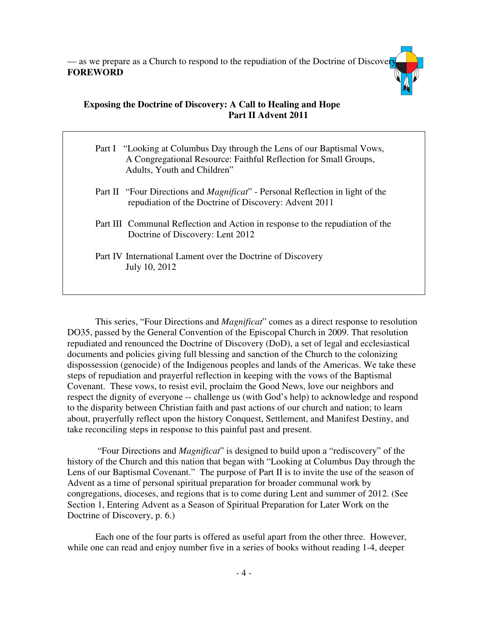— as we prepare as a Church to respond to the repudiation of the Doctrine of Discover **FOREWORD** 

# **Exposing the Doctrine of Discovery: A Call to Healing and Hope Part II Advent 2011**

| Part I "Looking at Columbus Day through the Lens of our Baptismal Vows,<br>A Congregational Resource: Faithful Reflection for Small Groups,<br>Adults, Youth and Children" |
|----------------------------------------------------------------------------------------------------------------------------------------------------------------------------|
| Part II "Four Directions and <i>Magnificat</i> " - Personal Reflection in light of the<br>repudiation of the Doctrine of Discovery: Advent 2011                            |
| Part III Communal Reflection and Action in response to the repudiation of the<br>Doctrine of Discovery: Lent 2012                                                          |
| Part IV International Lament over the Doctrine of Discovery<br>July 10, 2012                                                                                               |

This series, "Four Directions and *Magnificat*" comes as a direct response to resolution DO35, passed by the General Convention of the Episcopal Church in 2009. That resolution repudiated and renounced the Doctrine of Discovery (DoD), a set of legal and ecclesiastical documents and policies giving full blessing and sanction of the Church to the colonizing dispossession (genocide) of the Indigenous peoples and lands of the Americas. We take these steps of repudiation and prayerful reflection in keeping with the vows of the Baptismal Covenant. These vows, to resist evil, proclaim the Good News, love our neighbors and respect the dignity of everyone -- challenge us (with God's help) to acknowledge and respond to the disparity between Christian faith and past actions of our church and nation; to learn about, prayerfully reflect upon the history Conquest, Settlement, and Manifest Destiny, and take reconciling steps in response to this painful past and present.

 "Four Directions and *Magnificat*" is designed to build upon a "rediscovery" of the history of the Church and this nation that began with "Looking at Columbus Day through the Lens of our Baptismal Covenant." The purpose of Part II is to invite the use of the season of Advent as a time of personal spiritual preparation for broader communal work by congregations, dioceses, and regions that is to come during Lent and summer of 2012. (See Section 1, Entering Advent as a Season of Spiritual Preparation for Later Work on the Doctrine of Discovery, p. 6.)

 Each one of the four parts is offered as useful apart from the other three. However, while one can read and enjoy number five in a series of books without reading 1-4, deeper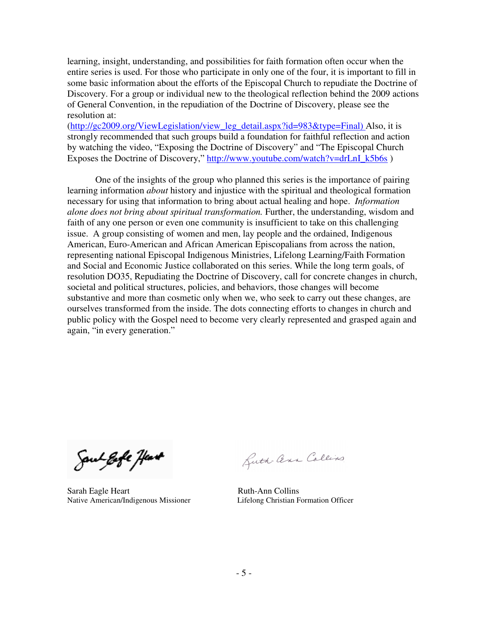learning, insight, understanding, and possibilities for faith formation often occur when the entire series is used. For those who participate in only one of the four, it is important to fill in some basic information about the efforts of the Episcopal Church to repudiate the Doctrine of Discovery. For a group or individual new to the theological reflection behind the 2009 actions of General Convention, in the repudiation of the Doctrine of Discovery, please see the resolution at:

(http://gc2009.org/ViewLegislation/view\_leg\_detail.aspx?id=983&type=Final) Also, it is strongly recommended that such groups build a foundation for faithful reflection and action by watching the video, "Exposing the Doctrine of Discovery" and "The Episcopal Church Exposes the Doctrine of Discovery," http://www.youtube.com/watch?v=drLnI\_k5b6s )

 One of the insights of the group who planned this series is the importance of pairing learning information *about* history and injustice with the spiritual and theological formation necessary for using that information to bring about actual healing and hope. *Information alone does not bring about spiritual transformation.* Further, the understanding, wisdom and faith of any one person or even one community is insufficient to take on this challenging issue. A group consisting of women and men, lay people and the ordained, Indigenous American, Euro-American and African American Episcopalians from across the nation, representing national Episcopal Indigenous Ministries, Lifelong Learning/Faith Formation and Social and Economic Justice collaborated on this series. While the long term goals, of resolution DO35, Repudiating the Doctrine of Discovery, call for concrete changes in church, societal and political structures, policies, and behaviors, those changes will become substantive and more than cosmetic only when we, who seek to carry out these changes, are ourselves transformed from the inside. The dots connecting efforts to changes in church and public policy with the Gospel need to become very clearly represented and grasped again and again, "in every generation."

Soul gofe flas**t** 

Sarah Eagle Heart **Ruth-Ann Collins** Native American/Indigenous MissionerLifelong Christian Formation Officer

Buth- Cena Collins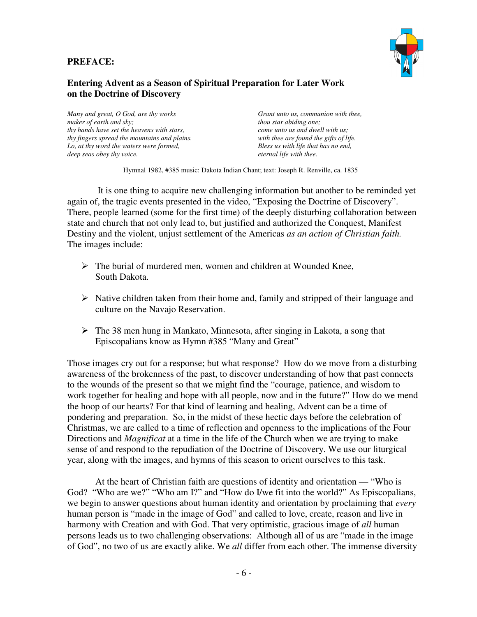### **PREFACE:**



### **Entering Advent as a Season of Spiritual Preparation for Later Work on the Doctrine of Discovery**

*Many and great, O God, are thy works maker of earth and sky; thy hands have set the heavens with stars, thy fingers spread the mountains and plains. Lo, at thy word the waters were formed, deep seas obey thy voice.* 

*Grant unto us, communion with thee, thou star abiding one; come unto us and dwell with us; with thee are found the gifts of life. Bless us with life that has no end, eternal life with thee.* 

Hymnal 1982, #385 music: Dakota Indian Chant; text: Joseph R. Renville, ca. 1835

 It is one thing to acquire new challenging information but another to be reminded yet again of, the tragic events presented in the video, "Exposing the Doctrine of Discovery". There, people learned (some for the first time) of the deeply disturbing collaboration between state and church that not only lead to, but justified and authorized the Conquest, Manifest Destiny and the violent, unjust settlement of the Americas *as an action of Christian faith.* The images include:

- $\triangleright$  The burial of murdered men, women and children at Wounded Knee, South Dakota.
- $\triangleright$  Native children taken from their home and, family and stripped of their language and culture on the Navajo Reservation.
- $\triangleright$  The 38 men hung in Mankato, Minnesota, after singing in Lakota, a song that Episcopalians know as Hymn #385 "Many and Great"

Those images cry out for a response; but what response? How do we move from a disturbing awareness of the brokenness of the past, to discover understanding of how that past connects to the wounds of the present so that we might find the "courage, patience, and wisdom to work together for healing and hope with all people, now and in the future?" How do we mend the hoop of our hearts? For that kind of learning and healing, Advent can be a time of pondering and preparation. So, in the midst of these hectic days before the celebration of Christmas, we are called to a time of reflection and openness to the implications of the Four Directions and *Magnificat* at a time in the life of the Church when we are trying to make sense of and respond to the repudiation of the Doctrine of Discovery. We use our liturgical year, along with the images, and hymns of this season to orient ourselves to this task.

 At the heart of Christian faith are questions of identity and orientation — "Who is God? "Who are we?" "Who am I?" and "How do I/we fit into the world?" As Episcopalians, we begin to answer questions about human identity and orientation by proclaiming that *every* human person is "made in the image of God" and called to love, create, reason and live in harmony with Creation and with God. That very optimistic, gracious image of *all* human persons leads us to two challenging observations: Although all of us are "made in the image of God", no two of us are exactly alike. We *all* differ from each other. The immense diversity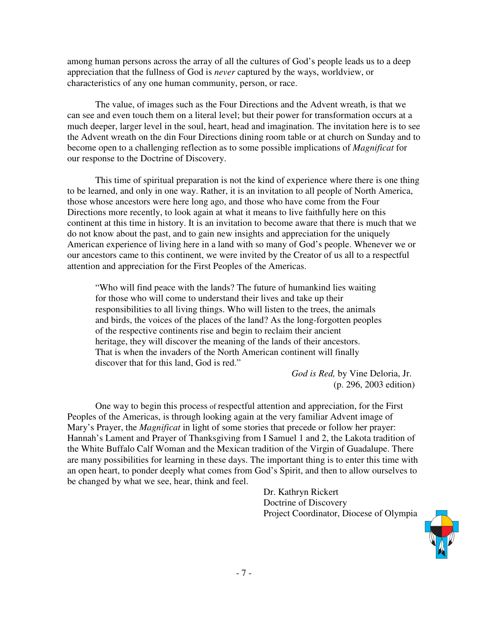among human persons across the array of all the cultures of God's people leads us to a deep appreciation that the fullness of God is *never* captured by the ways, worldview, or characteristics of any one human community, person, or race.

 The value, of images such as the Four Directions and the Advent wreath, is that we can see and even touch them on a literal level; but their power for transformation occurs at a much deeper, larger level in the soul, heart, head and imagination. The invitation here is to see the Advent wreath on the din Four Directions dining room table or at church on Sunday and to become open to a challenging reflection as to some possible implications of *Magnificat* for our response to the Doctrine of Discovery.

 This time of spiritual preparation is not the kind of experience where there is one thing to be learned, and only in one way. Rather, it is an invitation to all people of North America, those whose ancestors were here long ago, and those who have come from the Four Directions more recently, to look again at what it means to live faithfully here on this continent at this time in history. It is an invitation to become aware that there is much that we do not know about the past, and to gain new insights and appreciation for the uniquely American experience of living here in a land with so many of God's people. Whenever we or our ancestors came to this continent, we were invited by the Creator of us all to a respectful attention and appreciation for the First Peoples of the Americas.

 "Who will find peace with the lands? The future of humankind lies waiting for those who will come to understand their lives and take up their responsibilities to all living things. Who will listen to the trees, the animals and birds, the voices of the places of the land? As the long-forgotten peoples of the respective continents rise and begin to reclaim their ancient heritage, they will discover the meaning of the lands of their ancestors. That is when the invaders of the North American continent will finally discover that for this land, God is red."

> *God is Red,* by Vine Deloria, Jr. (p. 296, 2003 edition)

 One way to begin this process of respectful attention and appreciation, for the First Peoples of the Americas, is through looking again at the very familiar Advent image of Mary's Prayer, the *Magnificat* in light of some stories that precede or follow her prayer: Hannah's Lament and Prayer of Thanksgiving from I Samuel 1 and 2, the Lakota tradition of the White Buffalo Calf Woman and the Mexican tradition of the Virgin of Guadalupe. There are many possibilities for learning in these days. The important thing is to enter this time with an open heart, to ponder deeply what comes from God's Spirit, and then to allow ourselves to be changed by what we see, hear, think and feel.

> Dr. Kathryn Rickert Doctrine of Discovery Project Coordinator, Diocese of Olympia

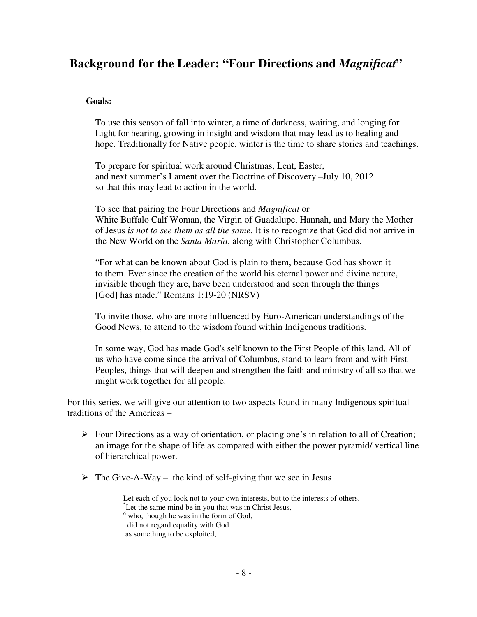# **Background for the Leader: "Four Directions and** *Magnificat***"**

## **Goals:**

To use this season of fall into winter, a time of darkness, waiting, and longing for Light for hearing, growing in insight and wisdom that may lead us to healing and hope. Traditionally for Native people, winter is the time to share stories and teachings.

 To prepare for spiritual work around Christmas, Lent, Easter, and next summer's Lament over the Doctrine of Discovery –July 10, 2012 so that this may lead to action in the world.

 To see that pairing the Four Directions and *Magnificat* or White Buffalo Calf Woman, the Virgin of Guadalupe, Hannah, and Mary the Mother of Jesus *is not to see them as all the same*. It is to recognize that God did not arrive in the New World on the *Santa María*, along with Christopher Columbus.

 "For what can be known about God is plain to them, because God has shown it to them. Ever since the creation of the world his eternal power and divine nature, invisible though they are, have been understood and seen through the things [God] has made." Romans 1:19-20 (NRSV)

 To invite those, who are more influenced by Euro-American understandings of the Good News, to attend to the wisdom found within Indigenous traditions.

In some way, God has made God's self known to the First People of this land. All of us who have come since the arrival of Columbus, stand to learn from and with First Peoples, things that will deepen and strengthen the faith and ministry of all so that we might work together for all people.

For this series, we will give our attention to two aspects found in many Indigenous spiritual traditions of the Americas –

- $\triangleright$  Four Directions as a way of orientation, or placing one's in relation to all of Creation; an image for the shape of life as compared with either the power pyramid/ vertical line of hierarchical power.
- $\triangleright$  The Give-A-Way the kind of self-giving that we see in Jesus

 Let each of you look not to your own interests, but to the interests of others.  ${}^{5}$ Let the same mind be in you that was in Christ Jesus, <sup>6</sup> who, though he was in the form of God, did not regard equality with God as something to be exploited,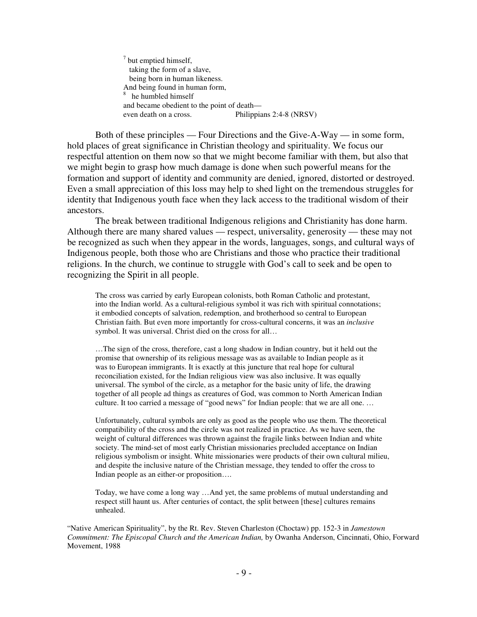$7$  but emptied himself, taking the form of a slave, being born in human likeness. And being found in human form, 8 he humbled himself and became obedient to the point of death even death on a cross. Philippians 2:4-8 (NRSV)

 Both of these principles — Four Directions and the Give-A-Way — in some form, hold places of great significance in Christian theology and spirituality. We focus our respectful attention on them now so that we might become familiar with them, but also that we might begin to grasp how much damage is done when such powerful means for the formation and support of identity and community are denied, ignored, distorted or destroyed. Even a small appreciation of this loss may help to shed light on the tremendous struggles for identity that Indigenous youth face when they lack access to the traditional wisdom of their ancestors.

The break between traditional Indigenous religions and Christianity has done harm. Although there are many shared values — respect, universality, generosity — these may not be recognized as such when they appear in the words, languages, songs, and cultural ways of Indigenous people, both those who are Christians and those who practice their traditional religions. In the church, we continue to struggle with God's call to seek and be open to recognizing the Spirit in all people.

The cross was carried by early European colonists, both Roman Catholic and protestant, into the Indian world. As a cultural-religious symbol it was rich with spiritual connotations; it embodied concepts of salvation, redemption, and brotherhood so central to European Christian faith. But even more importantly for cross-cultural concerns, it was an *inclusive*  symbol. It was universal. Christ died on the cross for all…

 …The sign of the cross, therefore, cast a long shadow in Indian country, but it held out the promise that ownership of its religious message was as available to Indian people as it was to European immigrants. It is exactly at this juncture that real hope for cultural reconciliation existed, for the Indian religious view was also inclusive. It was equally universal. The symbol of the circle, as a metaphor for the basic unity of life, the drawing together of all people ad things as creatures of God, was common to North American Indian culture. It too carried a message of "good news" for Indian people: that we are all one. …

 Unfortunately, cultural symbols are only as good as the people who use them. The theoretical compatibility of the cross and the circle was not realized in practice. As we have seen, the weight of cultural differences was thrown against the fragile links between Indian and white society. The mind-set of most early Christian missionaries precluded acceptance on Indian religious symbolism or insight. White missionaries were products of their own cultural milieu, and despite the inclusive nature of the Christian message, they tended to offer the cross to Indian people as an either-or proposition….

 Today, we have come a long way …And yet, the same problems of mutual understanding and respect still haunt us. After centuries of contact, the split between [these] cultures remains unhealed.

"Native American Spirituality", by the Rt. Rev. Steven Charleston (Choctaw) pp. 152-3 in *Jamestown Commitment: The Episcopal Church and the American Indian,* by Owanha Anderson, Cincinnati, Ohio, Forward Movement, 1988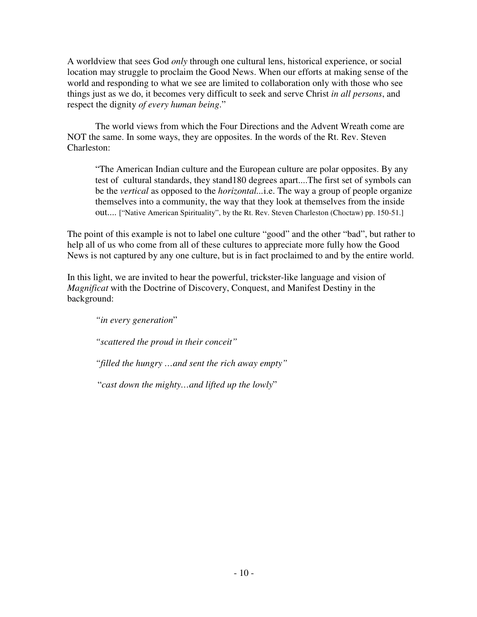A worldview that sees God *only* through one cultural lens, historical experience, or social location may struggle to proclaim the Good News. When our efforts at making sense of the world and responding to what we see are limited to collaboration only with those who see things just as we do, it becomes very difficult to seek and serve Christ *in all persons*, and respect the dignity *of every human being*."

 The world views from which the Four Directions and the Advent Wreath come are NOT the same. In some ways, they are opposites. In the words of the Rt. Rev. Steven Charleston:

 "The American Indian culture and the European culture are polar opposites. By any test of cultural standards, they stand180 degrees apart....The first set of symbols can be the *vertical* as opposed to the *horizontal...*i.e. The way a group of people organize themselves into a community, the way that they look at themselves from the inside out.... ["Native American Spirituality", by the Rt. Rev. Steven Charleston (Choctaw) pp. 150-51.]

The point of this example is not to label one culture "good" and the other "bad", but rather to help all of us who come from all of these cultures to appreciate more fully how the Good News is not captured by any one culture, but is in fact proclaimed to and by the entire world.

In this light, we are invited to hear the powerful, trickster-like language and vision of *Magnificat* with the Doctrine of Discovery, Conquest, and Manifest Destiny in the background:

*"in every generation*"

*"scattered the proud in their conceit"*

*"filled the hungry …and sent the rich away empty"*

"*cast down the mighty…and lifted up the lowly*"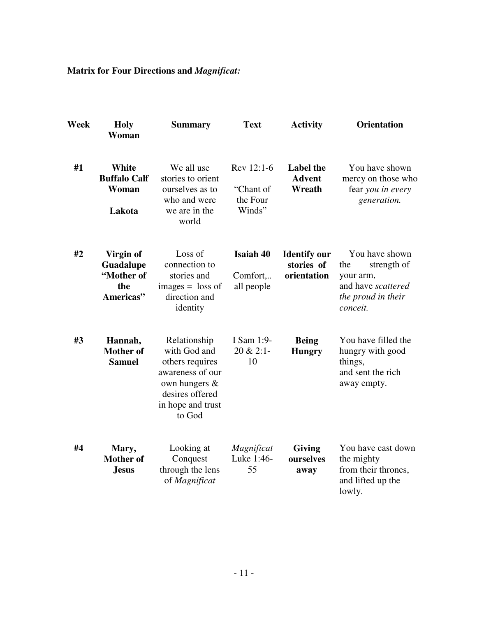# **Matrix for Four Directions and** *Magnificat:*

| Week | <b>Holy</b><br>Woman                                     | <b>Summary</b>                                                                                                                            | <b>Text</b>                                   | <b>Activity</b>                                  | <b>Orientation</b>                                                                                        |
|------|----------------------------------------------------------|-------------------------------------------------------------------------------------------------------------------------------------------|-----------------------------------------------|--------------------------------------------------|-----------------------------------------------------------------------------------------------------------|
| #1   | <b>White</b><br><b>Buffalo Calf</b><br>Woman<br>Lakota   | We all use<br>stories to orient<br>ourselves as to<br>who and were<br>we are in the<br>world                                              | Rev 12:1-6<br>"Chant of<br>the Four<br>Winds" | <b>Label</b> the<br><b>Advent</b><br>Wreath      | You have shown<br>mercy on those who<br>fear you in every<br>generation.                                  |
| #2   | Virgin of<br>Guadalupe<br>"Mother of<br>the<br>Americas" | Loss of<br>connection to<br>stories and<br>$images = loss of$<br>direction and<br>identity                                                | <b>Isaiah 40</b><br>Comfort<br>all people     | <b>Identify our</b><br>stories of<br>orientation | You have shown<br>the<br>strength of<br>your arm,<br>and have scattered<br>the proud in their<br>conceit. |
| #3   | Hannah,<br><b>Mother of</b><br><b>Samuel</b>             | Relationship<br>with God and<br>others requires<br>awareness of our<br>own hungers $\&$<br>desires offered<br>in hope and trust<br>to God | I Sam 1:9-<br>20 & 2:1-<br>10                 | <b>Being</b><br><b>Hungry</b>                    | You have filled the<br>hungry with good<br>things,<br>and sent the rich<br>away empty.                    |
| #4   | Mary,<br><b>Mother of</b><br><b>Jesus</b>                | Looking at<br>Conquest<br>through the lens<br>of Magnificat                                                                               | Magnificat<br>Luke 1:46-<br>55                | <b>Giving</b><br>ourselves<br>away               | You have cast down<br>the mighty<br>from their thrones,<br>and lifted up the<br>lowly.                    |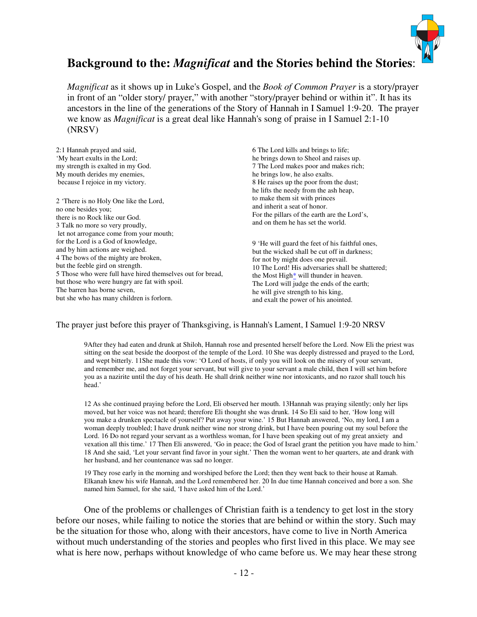

# **Background to the:** *Magnificat* **and the Stories behind the Stories**:

*Magnificat* as it shows up in Luke's Gospel, and the *Book of Common Prayer* is a story/prayer in front of an "older story/ prayer," with another "story/prayer behind or within it". It has its ancestors in the line of the generations of the Story of Hannah in I Samuel 1:9-20. The prayer we know as *Magnificat* is a great deal like Hannah's song of praise in I Samuel 2:1-10 (NRSV)

| 2:1 Hannah prayed and said,                                | 6 The Lord kills and brings to life;             |
|------------------------------------------------------------|--------------------------------------------------|
| 'My heart exults in the Lord;                              | he brings down to Sheol and raises up.           |
| my strength is exalted in my God.                          | 7 The Lord makes poor and makes rich;            |
| My mouth derides my enemies,                               | he brings low, he also exalts.                   |
| because I rejoice in my victory.                           | 8 He raises up the poor from the dust;           |
|                                                            | he lifts the needy from the ash heap,            |
| 2 'There is no Holy One like the Lord,                     | to make them sit with princes                    |
| no one besides you;                                        | and inherit a seat of honor.                     |
| there is no Rock like our God.                             | For the pillars of the earth are the Lord's,     |
| 3 Talk no more so very proudly,                            | and on them he has set the world.                |
| let not arrogance come from your mouth;                    |                                                  |
| for the Lord is a God of knowledge,                        |                                                  |
| and by him actions are weighed.                            | 9 'He will guard the feet of his faithful ones,  |
| 4 The bows of the mighty are broken,                       | but the wicked shall be cut off in darkness;     |
| but the feeble gird on strength.                           | for not by might does one prevail.               |
| 5 Those who were full have hired themselves out for bread, | 10 The Lord! His adversaries shall be shattered; |
|                                                            | the Most High* will thunder in heaven.           |
| but those who were hungry are fat with spoil.              | The Lord will judge the ends of the earth;       |
| The barren has borne seven,                                | he will give strength to his king,               |
| but she who has many children is forlorn.                  | and exalt the power of his anointed.             |

#### The prayer just before this prayer of Thanksgiving, is Hannah's Lament, I Samuel 1:9-20 NRSV

9After they had eaten and drunk at Shiloh, Hannah rose and presented herself before the Lord. Now Eli the priest was sitting on the seat beside the doorpost of the temple of the Lord. 10 She was deeply distressed and prayed to the Lord, and wept bitterly. 11She made this vow: 'O Lord of hosts, if only you will look on the misery of your servant, and remember me, and not forget your servant, but will give to your servant a male child, then I will set him before you as a nazirite until the day of his death. He shall drink neither wine nor intoxicants, and no razor shall touch his head.'

 12 As she continued praying before the Lord, Eli observed her mouth. 13Hannah was praying silently; only her lips moved, but her voice was not heard; therefore Eli thought she was drunk. 14 So Eli said to her, 'How long will you make a drunken spectacle of yourself? Put away your wine.' 15 But Hannah answered, 'No, my lord, I am a woman deeply troubled; I have drunk neither wine nor strong drink, but I have been pouring out my soul before the Lord. 16 Do not regard your servant as a worthless woman, for I have been speaking out of my great anxiety and vexation all this time.' 17 Then Eli answered, 'Go in peace; the God of Israel grant the petition you have made to him.' 18 And she said, 'Let your servant find favor in your sight.' Then the woman went to her quarters, ate and drank with her husband, and her countenance was sad no longer.

 19 They rose early in the morning and worshiped before the Lord; then they went back to their house at Ramah. Elkanah knew his wife Hannah, and the Lord remembered her. 20 In due time Hannah conceived and bore a son. She named him Samuel, for she said, 'I have asked him of the Lord.'

 One of the problems or challenges of Christian faith is a tendency to get lost in the story before our noses, while failing to notice the stories that are behind or within the story. Such may be the situation for those who, along with their ancestors, have come to live in North America without much understanding of the stories and peoples who first lived in this place. We may see what is here now, perhaps without knowledge of who came before us. We may hear these strong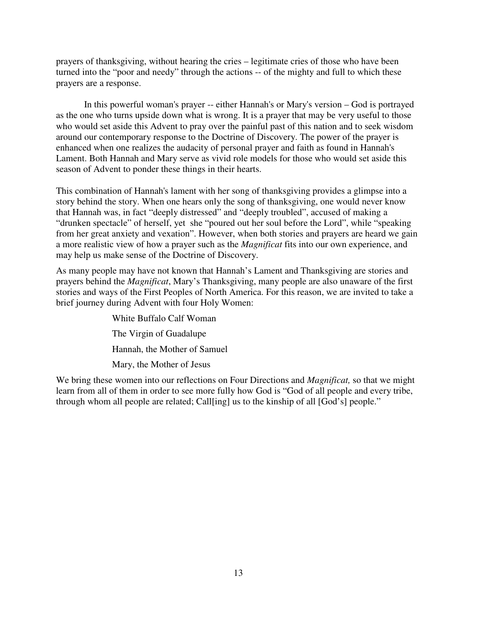prayers of thanksgiving, without hearing the cries – legitimate cries of those who have been turned into the "poor and needy" through the actions -- of the mighty and full to which these prayers are a response.

 In this powerful woman's prayer -- either Hannah's or Mary's version – God is portrayed as the one who turns upside down what is wrong. It is a prayer that may be very useful to those who would set aside this Advent to pray over the painful past of this nation and to seek wisdom around our contemporary response to the Doctrine of Discovery. The power of the prayer is enhanced when one realizes the audacity of personal prayer and faith as found in Hannah's Lament. Both Hannah and Mary serve as vivid role models for those who would set aside this season of Advent to ponder these things in their hearts.

This combination of Hannah's lament with her song of thanksgiving provides a glimpse into a story behind the story. When one hears only the song of thanksgiving, one would never know that Hannah was, in fact "deeply distressed" and "deeply troubled", accused of making a "drunken spectacle" of herself, yet she "poured out her soul before the Lord", while "speaking from her great anxiety and vexation". However, when both stories and prayers are heard we gain a more realistic view of how a prayer such as the *Magnificat* fits into our own experience, and may help us make sense of the Doctrine of Discovery.

As many people may have not known that Hannah's Lament and Thanksgiving are stories and prayers behind the *Magnificat*, Mary's Thanksgiving, many people are also unaware of the first stories and ways of the First Peoples of North America. For this reason, we are invited to take a brief journey during Advent with four Holy Women:

> White Buffalo Calf Woman The Virgin of Guadalupe Hannah, the Mother of Samuel Mary, the Mother of Jesus

We bring these women into our reflections on Four Directions and *Magnificat,* so that we might learn from all of them in order to see more fully how God is "God of all people and every tribe, through whom all people are related; Call[ing] us to the kinship of all [God's] people."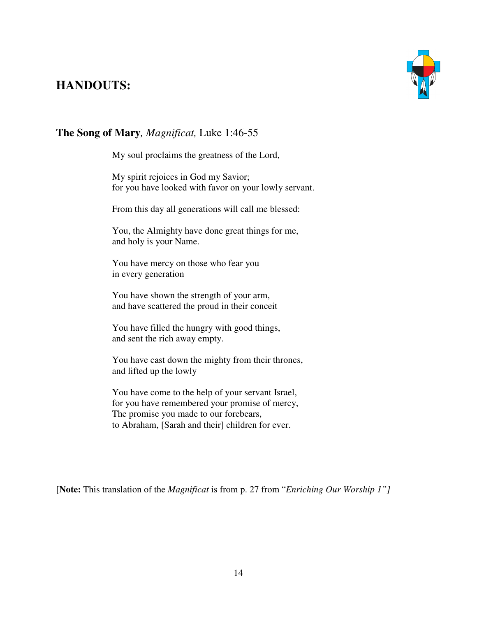# **HANDOUTS:**



# **The Song of Mary***, Magnificat,* Luke 1:46-55

My soul proclaims the greatness of the Lord,

My spirit rejoices in God my Savior; for you have looked with favor on your lowly servant.

From this day all generations will call me blessed:

You, the Almighty have done great things for me, and holy is your Name.

You have mercy on those who fear you in every generation

You have shown the strength of your arm, and have scattered the proud in their conceit

You have filled the hungry with good things, and sent the rich away empty.

You have cast down the mighty from their thrones, and lifted up the lowly

You have come to the help of your servant Israel, for you have remembered your promise of mercy, The promise you made to our forebears, to Abraham, [Sarah and their] children for ever.

[**Note:** This translation of the *Magnificat* is from p. 27 from "*Enriching Our Worship 1"]*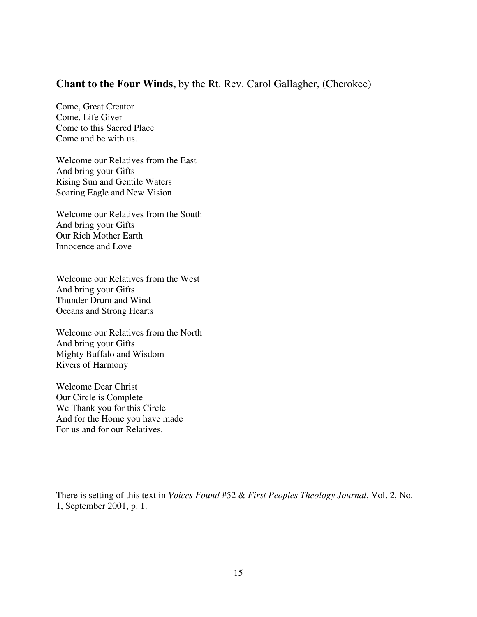# **Chant to the Four Winds,** by the Rt. Rev. Carol Gallagher, (Cherokee)

Come, Great Creator Come, Life Giver Come to this Sacred Place Come and be with us.

Welcome our Relatives from the East And bring your Gifts Rising Sun and Gentile Waters Soaring Eagle and New Vision

Welcome our Relatives from the South And bring your Gifts Our Rich Mother Earth Innocence and Love

Welcome our Relatives from the West And bring your Gifts Thunder Drum and Wind Oceans and Strong Hearts

Welcome our Relatives from the North And bring your Gifts Mighty Buffalo and Wisdom Rivers of Harmony

Welcome Dear Christ Our Circle is Complete We Thank you for this Circle And for the Home you have made For us and for our Relatives.

There is setting of this text in *Voices Found* #52 & *First Peoples Theology Journal*, Vol. 2, No. 1, September 2001, p. 1.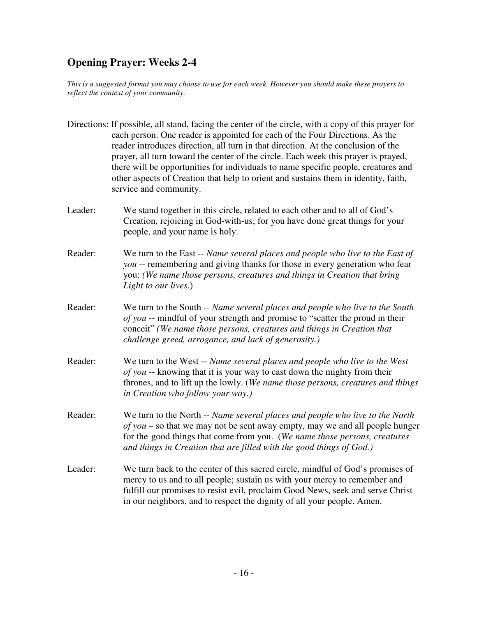# **Opening Prayer: Weeks 2-4**

*This is a suggested format you may choose to use for each week. However you should make these prayers to reflect the context of your community.* 

|         | Directions: If possible, all stand, facing the center of the circle, with a copy of this prayer for<br>each person. One reader is appointed for each of the Four Directions. As the<br>reader introduces direction, all turn in that direction. At the conclusion of the<br>prayer, all turn toward the center of the circle. Each week this prayer is prayed,<br>there will be opportunities for individuals to name specific people, creatures and<br>other aspects of Creation that help to orient and sustains them in identity, faith,<br>service and community. |
|---------|-----------------------------------------------------------------------------------------------------------------------------------------------------------------------------------------------------------------------------------------------------------------------------------------------------------------------------------------------------------------------------------------------------------------------------------------------------------------------------------------------------------------------------------------------------------------------|
| Leader: | We stand together in this circle, related to each other and to all of God's<br>Creation, rejoicing in God-with-us; for you have done great things for your<br>people, and your name is holy.                                                                                                                                                                                                                                                                                                                                                                          |
| Reader: | We turn to the East -- Name several places and people who live to the East of<br>you -- remembering and giving thanks for those in every generation who fear<br>you: (We name those persons, creatures and things in Creation that bring<br>Light to our lives.)                                                                                                                                                                                                                                                                                                      |
| Reader: | We turn to the South -- Name several places and people who live to the South<br>of you -- mindful of your strength and promise to "scatter the proud in their<br>conceit" (We name those persons, creatures and things in Creation that<br>challenge greed, arrogance, and lack of generosity.)                                                                                                                                                                                                                                                                       |
| Reader: | We turn to the West -- Name several places and people who live to the West<br>of you -- knowing that it is your way to cast down the mighty from their<br>thrones, and to lift up the lowly. (We name those persons, creatures and things<br>in Creation who follow your way.)                                                                                                                                                                                                                                                                                        |
| Reader: | We turn to the North -- Name several places and people who live to the North<br>of you – so that we may not be sent away empty, may we and all people hunger<br>for the good things that come from you. (We name those persons, creatures<br>and things in Creation that are filled with the good things of God.)                                                                                                                                                                                                                                                     |
| Leader: | We turn back to the center of this sacred circle, mindful of God's promises of<br>mercy to us and to all people; sustain us with your mercy to remember and<br>fulfill our promises to resist evil, proclaim Good News, seek and serve Christ<br>in our neighbors, and to respect the dignity of all your people. Amen.                                                                                                                                                                                                                                               |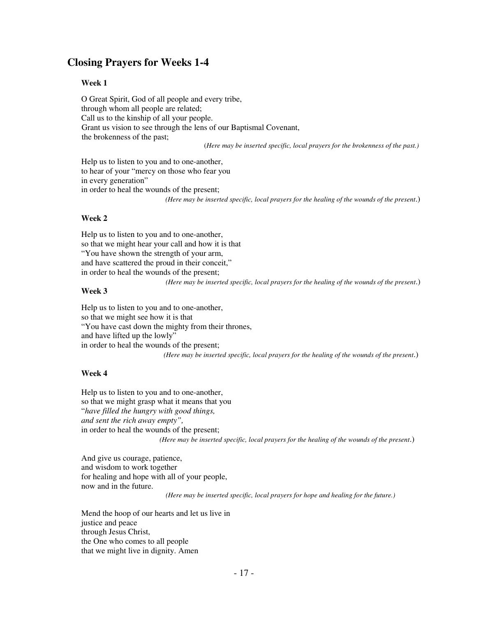# **Closing Prayers for Weeks 1-4**

#### **Week 1**

O Great Spirit, God of all people and every tribe, through whom all people are related; Call us to the kinship of all your people. Grant us vision to see through the lens of our Baptismal Covenant, the brokenness of the past;

(*Here may be inserted specific, local prayers for the brokenness of the past.)* 

Help us to listen to you and to one-another, to hear of your "mercy on those who fear you in every generation" in order to heal the wounds of the present;

*(Here may be inserted specific, local prayers for the healing of the wounds of the present*.)

#### **Week 2**

Help us to listen to you and to one-another, so that we might hear your call and how it is that "You have shown the strength of your arm, and have scattered the proud in their conceit," in order to heal the wounds of the present;

#### *(Here may be inserted specific, local prayers for the healing of the wounds of the present*.)

#### **Week 3**

Help us to listen to you and to one-another, so that we might see how it is that "You have cast down the mighty from their thrones, and have lifted up the lowly" in order to heal the wounds of the present; *(Here may be inserted specific, local prayers for the healing of the wounds of the present*.)

#### **Week 4**

Help us to listen to you and to one-another, so that we might grasp what it means that you "*have filled the hungry with good things, and sent the rich away empty",*  in order to heal the wounds of the present; *(Here may be inserted specific, local prayers for the healing of the wounds of the present*.)

And give us courage, patience, and wisdom to work together for healing and hope with all of your people, now and in the future.

*(Here may be inserted specific, local prayers for hope and healing for the future.)* 

Mend the hoop of our hearts and let us live in justice and peace through Jesus Christ, the One who comes to all people that we might live in dignity. Amen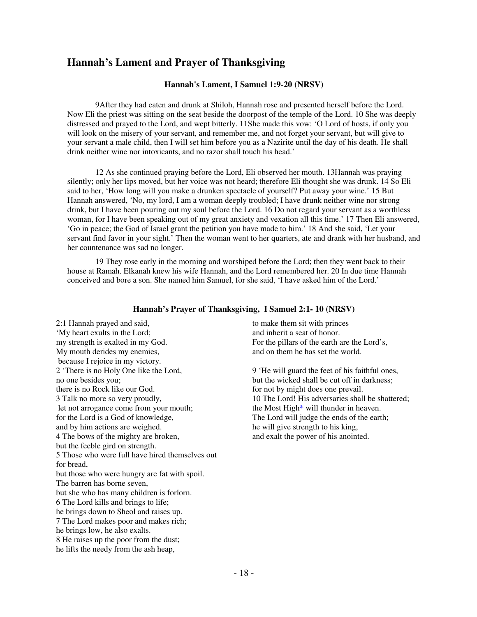# **Hannah's Lament and Prayer of Thanksgiving**

#### **Hannah's Lament, I Samuel 1:9-20 (NRSV)**

9After they had eaten and drunk at Shiloh, Hannah rose and presented herself before the Lord. Now Eli the priest was sitting on the seat beside the doorpost of the temple of the Lord. 10 She was deeply distressed and prayed to the Lord, and wept bitterly. 11She made this vow: 'O Lord of hosts, if only you will look on the misery of your servant, and remember me, and not forget your servant, but will give to your servant a male child, then I will set him before you as a Nazirite until the day of his death. He shall drink neither wine nor intoxicants, and no razor shall touch his head.'

 12 As she continued praying before the Lord, Eli observed her mouth. 13Hannah was praying silently; only her lips moved, but her voice was not heard; therefore Eli thought she was drunk. 14 So Eli said to her, 'How long will you make a drunken spectacle of yourself? Put away your wine.' 15 But Hannah answered, 'No, my lord, I am a woman deeply troubled; I have drunk neither wine nor strong drink, but I have been pouring out my soul before the Lord. 16 Do not regard your servant as a worthless woman, for I have been speaking out of my great anxiety and vexation all this time.' 17 Then Eli answered, 'Go in peace; the God of Israel grant the petition you have made to him.' 18 And she said, 'Let your servant find favor in your sight.' Then the woman went to her quarters, ate and drank with her husband, and her countenance was sad no longer.

19 They rose early in the morning and worshiped before the Lord; then they went back to their house at Ramah. Elkanah knew his wife Hannah, and the Lord remembered her. 20 In due time Hannah conceived and bore a son. She named him Samuel, for she said, 'I have asked him of the Lord.'

#### **Hannah's Prayer of Thanksgiving, I Samuel 2:1- 10 (NRSV)**

2:1 Hannah prayed and said, 'My heart exults in the Lord; my strength is exalted in my God. My mouth derides my enemies, because I rejoice in my victory. 2 'There is no Holy One like the Lord, no one besides you; there is no Rock like our God. 3 Talk no more so very proudly, let not arrogance come from your mouth; for the Lord is a God of knowledge, and by him actions are weighed. 4 The bows of the mighty are broken, but the feeble gird on strength. 5 Those who were full have hired themselves out for bread, but those who were hungry are fat with spoil. The barren has borne seven, but she who has many children is forlorn. 6 The Lord kills and brings to life; he brings down to Sheol and raises up. 7 The Lord makes poor and makes rich; he brings low, he also exalts. 8 He raises up the poor from the dust; he lifts the needy from the ash heap,

to make them sit with princes and inherit a seat of honor. For the pillars of the earth are the Lord's, and on them he has set the world.

9 'He will guard the feet of his faithful ones, but the wicked shall be cut off in darkness; for not by might does one prevail. 10 The Lord! His adversaries shall be shattered; the Most High\* will thunder in heaven. The Lord will judge the ends of the earth; he will give strength to his king, and exalt the power of his anointed.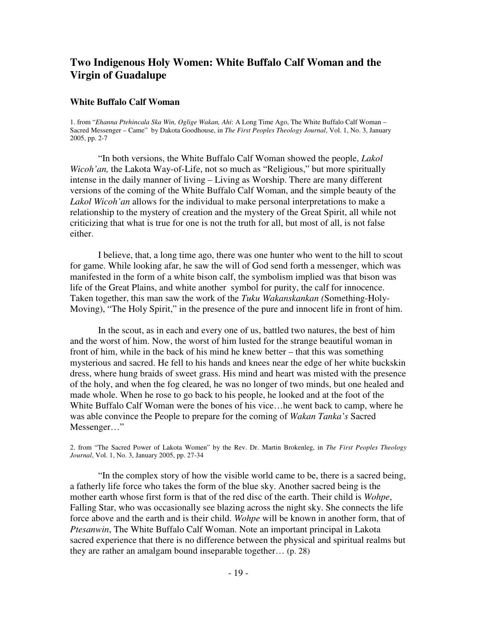# **Two Indigenous Holy Women: White Buffalo Calf Woman and the Virgin of Guadalupe**

#### **White Buffalo Calf Woman**

1. from "*Ehanna Ptehincala Ska Win, Oglige Wakan, Ahi*: A Long Time Ago, The White Buffalo Calf Woman – Sacred Messenger – Came" by Dakota Goodhouse, in *The First Peoples Theology Journal*, Vol. 1, No. 3, January 2005, pp. 2-7

 "In both versions, the White Buffalo Calf Woman showed the people, *Lakol Wicoh'an,* the Lakota Way-of-Life, not so much as "Religious," but more spiritually intense in the daily manner of living – Living as Worship. There are many different versions of the coming of the White Buffalo Calf Woman, and the simple beauty of the *Lakol Wicoh'an* allows for the individual to make personal interpretations to make a relationship to the mystery of creation and the mystery of the Great Spirit, all while not criticizing that what is true for one is not the truth for all, but most of all, is not false either.

 I believe, that, a long time ago, there was one hunter who went to the hill to scout for game. While looking afar, he saw the will of God send forth a messenger, which was manifested in the form of a white bison calf, the symbolism implied was that bison was life of the Great Plains, and white another symbol for purity, the calf for innocence. Taken together, this man saw the work of the *Tuku Wakanskankan (*Something-Holy-Moving), "The Holy Spirit," in the presence of the pure and innocent life in front of him.

 In the scout, as in each and every one of us, battled two natures, the best of him and the worst of him. Now, the worst of him lusted for the strange beautiful woman in front of him, while in the back of his mind he knew better – that this was something mysterious and sacred. He fell to his hands and knees near the edge of her white buckskin dress, where hung braids of sweet grass. His mind and heart was misted with the presence of the holy, and when the fog cleared, he was no longer of two minds, but one healed and made whole. When he rose to go back to his people, he looked and at the foot of the White Buffalo Calf Woman were the bones of his vice…he went back to camp, where he was able convince the People to prepare for the coming of *Wakan Tanka's* Sacred Messenger…"

2. from "The Sacred Power of Lakota Women" by the Rev. Dr. Martin Brokenleg, in *The First Peoples Theology Journal*, Vol. 1, No. 3, January 2005, pp. 27-34

 "In the complex story of how the visible world came to be, there is a sacred being, a fatherly life force who takes the form of the blue sky. Another sacred being is the mother earth whose first form is that of the red disc of the earth. Their child is *Wohpe*, Falling Star, who was occasionally see blazing across the night sky. She connects the life force above and the earth and is their child. *Wohpe* will be known in another form, that of *Ptesanwin*, The White Buffalo Calf Woman. Note an important principal in Lakota sacred experience that there is no difference between the physical and spiritual realms but they are rather an amalgam bound inseparable together… (p. 28)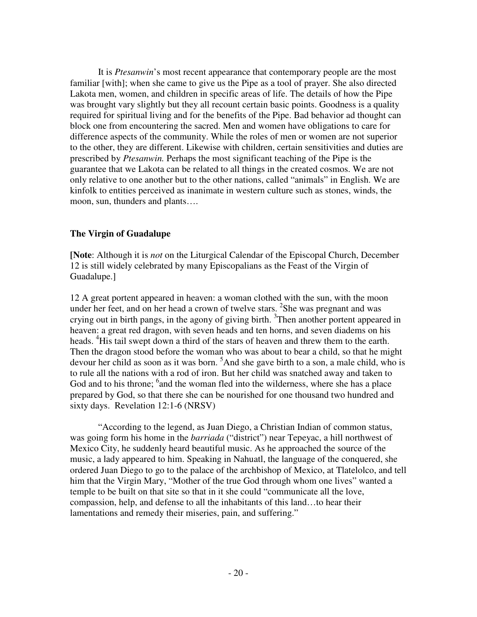It is *Ptesanwin*'s most recent appearance that contemporary people are the most familiar [with]; when she came to give us the Pipe as a tool of prayer. She also directed Lakota men, women, and children in specific areas of life. The details of how the Pipe was brought vary slightly but they all recount certain basic points. Goodness is a quality required for spiritual living and for the benefits of the Pipe. Bad behavior ad thought can block one from encountering the sacred. Men and women have obligations to care for difference aspects of the community. While the roles of men or women are not superior to the other, they are different. Likewise with children, certain sensitivities and duties are prescribed by *Ptesanwin.* Perhaps the most significant teaching of the Pipe is the guarantee that we Lakota can be related to all things in the created cosmos. We are not only relative to one another but to the other nations, called "animals" in English. We are kinfolk to entities perceived as inanimate in western culture such as stones, winds, the moon, sun, thunders and plants….

### **The Virgin of Guadalupe**

**[Note**: Although it is *not* on the Liturgical Calendar of the Episcopal Church, December 12 is still widely celebrated by many Episcopalians as the Feast of the Virgin of Guadalupe.]

12 A great portent appeared in heaven: a woman clothed with the sun, with the moon under her feet, and on her head a crown of twelve stars. <sup>2</sup>She was pregnant and was crying out in birth pangs, in the agony of giving birth. <sup>3</sup>Then another portent appeared in heaven: a great red dragon, with seven heads and ten horns, and seven diadems on his heads. <sup>4</sup>His tail swept down a third of the stars of heaven and threw them to the earth. Then the dragon stood before the woman who was about to bear a child, so that he might devour her child as soon as it was born. <sup>5</sup>And she gave birth to a son, a male child, who is to rule all the nations with a rod of iron. But her child was snatched away and taken to God and to his throne; <sup>6</sup> and the woman fled into the wilderness, where she has a place prepared by God, so that there she can be nourished for one thousand two hundred and sixty days. Revelation 12:1-6 (NRSV)

 "According to the legend, as Juan Diego, a Christian Indian of common status, was going form his home in the *barriada* ("district") near Tepeyac, a hill northwest of Mexico City, he suddenly heard beautiful music. As he approached the source of the music, a lady appeared to him. Speaking in Nahuatl, the language of the conquered, she ordered Juan Diego to go to the palace of the archbishop of Mexico, at Tlatelolco, and tell him that the Virgin Mary, "Mother of the true God through whom one lives" wanted a temple to be built on that site so that in it she could "communicate all the love, compassion, help, and defense to all the inhabitants of this land…to hear their lamentations and remedy their miseries, pain, and suffering."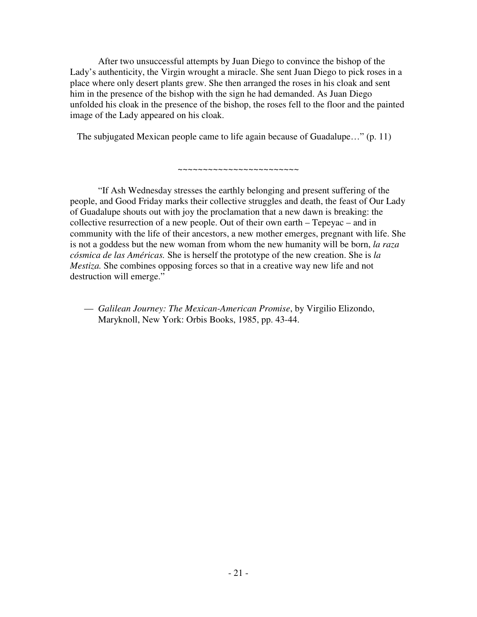After two unsuccessful attempts by Juan Diego to convince the bishop of the Lady's authenticity, the Virgin wrought a miracle. She sent Juan Diego to pick roses in a place where only desert plants grew. She then arranged the roses in his cloak and sent him in the presence of the bishop with the sign he had demanded. As Juan Diego unfolded his cloak in the presence of the bishop, the roses fell to the floor and the painted image of the Lady appeared on his cloak.

The subjugated Mexican people came to life again because of Guadalupe…" (p. 11)

~~~~~~~~~~~~~~~~~~~~~~~~

 "If Ash Wednesday stresses the earthly belonging and present suffering of the people, and Good Friday marks their collective struggles and death, the feast of Our Lady of Guadalupe shouts out with joy the proclamation that a new dawn is breaking: the collective resurrection of a new people. Out of their own earth – Tepeyac – and in community with the life of their ancestors, a new mother emerges, pregnant with life. She is not a goddess but the new woman from whom the new humanity will be born, *la raza cósmica de las Américas.* She is herself the prototype of the new creation. She is *la Mestiza.* She combines opposing forces so that in a creative way new life and not destruction will emerge."

— *Galilean Journey: The Mexican-American Promise*, by Virgilio Elizondo, Maryknoll, New York: Orbis Books, 1985, pp. 43-44.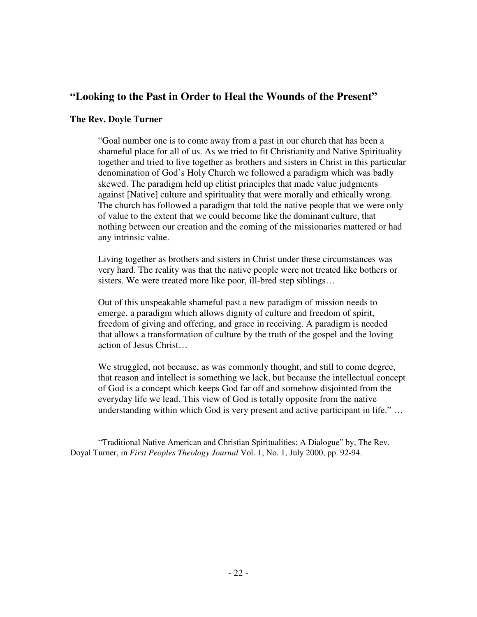# **"Looking to the Past in Order to Heal the Wounds of the Present"**

### **The Rev. Doyle Turner**

 "Goal number one is to come away from a past in our church that has been a shameful place for all of us. As we tried to fit Christianity and Native Spirituality together and tried to live together as brothers and sisters in Christ in this particular denomination of God's Holy Church we followed a paradigm which was badly skewed. The paradigm held up elitist principles that made value judgments against [Native] culture and spirituality that were morally and ethically wrong. The church has followed a paradigm that told the native people that we were only of value to the extent that we could become like the dominant culture, that nothing between our creation and the coming of the missionaries mattered or had any intrinsic value.

 Living together as brothers and sisters in Christ under these circumstances was very hard. The reality was that the native people were not treated like bothers or sisters. We were treated more like poor, ill-bred step siblings…

 Out of this unspeakable shameful past a new paradigm of mission needs to emerge, a paradigm which allows dignity of culture and freedom of spirit, freedom of giving and offering, and grace in receiving. A paradigm is needed that allows a transformation of culture by the truth of the gospel and the loving action of Jesus Christ…

 We struggled, not because, as was commonly thought, and still to come degree, that reason and intellect is something we lack, but because the intellectual concept of God is a concept which keeps God far off and somehow disjointed from the everyday life we lead. This view of God is totally opposite from the native understanding within which God is very present and active participant in life." …

 "Traditional Native American and Christian Spiritualities: A Dialogue" by, The Rev. Doyal Turner, in *First Peoples Theology Journal* Vol. 1, No. 1, July 2000, pp. 92-94.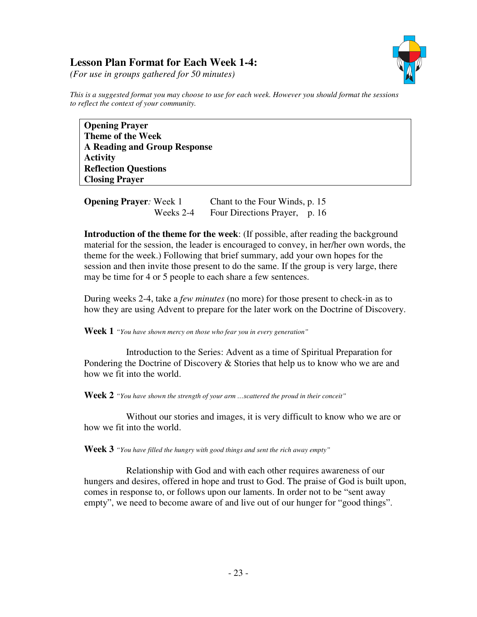# **Lesson Plan Format for Each Week 1-4:**



*(For use in groups gathered for 50 minutes)* 

*This is a suggested format you may choose to use for each week. However you should format the sessions to reflect the context of your community.*

**Opening Prayer Theme of the Week A Reading and Group Response Activity Reflection Questions Closing Prayer** 

**Opening Prayer:** Week 1 Chant to the Four Winds, p. 15 Weeks 2-4 Four Directions Prayer, p. 16

**Introduction of the theme for the week**: (If possible, after reading the background material for the session, the leader is encouraged to convey, in her/her own words, the theme for the week.) Following that brief summary, add your own hopes for the session and then invite those present to do the same. If the group is very large, there may be time for 4 or 5 people to each share a few sentences.

During weeks 2-4, take a *few minutes* (no more) for those present to check-in as to how they are using Advent to prepare for the later work on the Doctrine of Discovery.

**Week 1** *"You have shown mercy on those who fear you in every generation"*

 Introduction to the Series: Advent as a time of Spiritual Preparation for Pondering the Doctrine of Discovery  $&$  Stories that help us to know who we are and how we fit into the world.

**Week 2** *"You have shown the strength of your arm …scattered the proud in their conceit"* 

Without our stories and images, it is very difficult to know who we are or how we fit into the world.

**Week 3** *"You have filled the hungry with good things and sent the rich away empty"* 

Relationship with God and with each other requires awareness of our hungers and desires, offered in hope and trust to God. The praise of God is built upon, comes in response to, or follows upon our laments. In order not to be "sent away empty", we need to become aware of and live out of our hunger for "good things".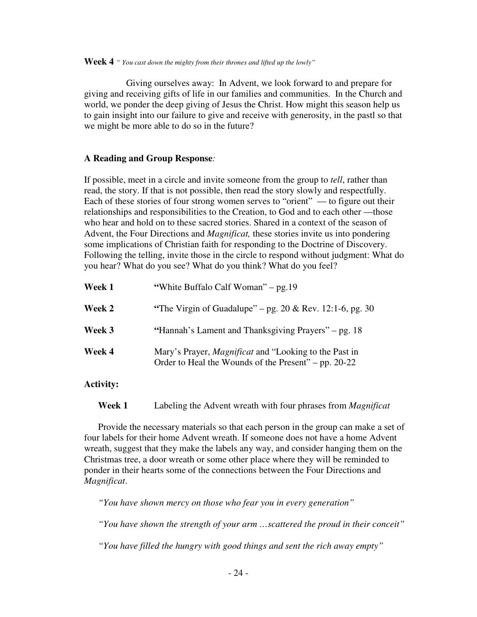**Week 4** *" You cast down the mighty from their thrones and lifted up the lowly"* 

Giving ourselves away: In Advent, we look forward to and prepare for giving and receiving gifts of life in our families and communities. In the Church and world, we ponder the deep giving of Jesus the Christ. How might this season help us to gain insight into our failure to give and receive with generosity, in the pastl so that we might be more able to do so in the future?

### **A Reading and Group Response***:*

If possible, meet in a circle and invite someone from the group to *tell*, rather than read, the story. If that is not possible, then read the story slowly and respectfully. Each of these stories of four strong women serves to "orient" — to figure out their relationships and responsibilities to the Creation, to God and to each other —those who hear and hold on to these sacred stories. Shared in a context of the season of Advent, the Four Directions and *Magnificat,* these stories invite us into pondering some implications of Christian faith for responding to the Doctrine of Discovery. Following the telling, invite those in the circle to respond without judgment: What do you hear? What do you see? What do you think? What do you feel?

| Week 1 | "White Buffalo Calf Woman" – pg.19"                                                                                  |
|--------|----------------------------------------------------------------------------------------------------------------------|
| Week 2 | "The Virgin of Guadalupe" – pg. $20 \& \text{Rev. } 12:1-6, \text{ pg. } 30$                                         |
| Week 3 | "Hannah's Lament and Thanksgiving Prayers" – pg. 18                                                                  |
| Week 4 | Mary's Prayer, <i>Magnificat</i> and "Looking to the Past in<br>Order to Heal the Wounds of the Present" – pp. 20-22 |

### **Activity:**

**Week 1** Labeling the Advent wreath with four phrases from *Magnificat* 

Provide the necessary materials so that each person in the group can make a set of four labels for their home Advent wreath. If someone does not have a home Advent wreath, suggest that they make the labels any way, and consider hanging them on the Christmas tree, a door wreath or some other place where they will be reminded to ponder in their hearts some of the connections between the Four Directions and *Magnificat*.

 *"You have shown mercy on those who fear you in every generation"*

 *"You have shown the strength of your arm …scattered the proud in their conceit"*

 *"You have filled the hungry with good things and sent the rich away empty"*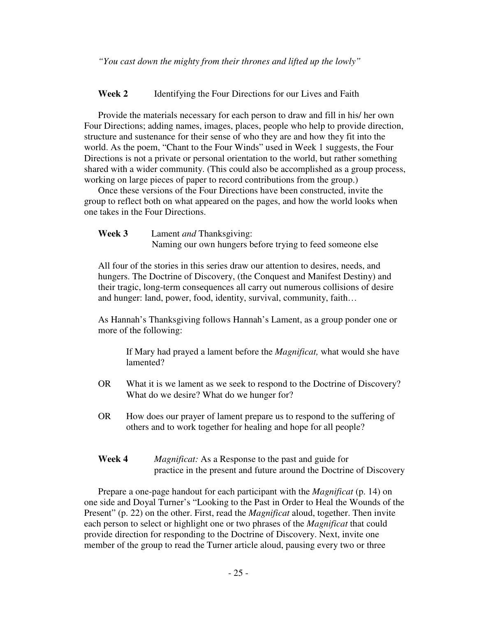**Week 2** Identifying the Four Directions for our Lives and Faith

 Provide the materials necessary for each person to draw and fill in his/ her own Four Directions; adding names, images, places, people who help to provide direction, structure and sustenance for their sense of who they are and how they fit into the world. As the poem, "Chant to the Four Winds" used in Week 1 suggests, the Four Directions is not a private or personal orientation to the world, but rather something shared with a wider community. (This could also be accomplished as a group process, working on large pieces of paper to record contributions from the group.)

 Once these versions of the Four Directions have been constructed, invite the group to reflect both on what appeared on the pages, and how the world looks when one takes in the Four Directions.

**Week 3** Lament *and* Thanksgiving: Naming our own hungers before trying to feed someone else

 All four of the stories in this series draw our attention to desires, needs, and hungers. The Doctrine of Discovery, (the Conquest and Manifest Destiny) and their tragic, long-term consequences all carry out numerous collisions of desire and hunger: land, power, food, identity, survival, community, faith…

 As Hannah's Thanksgiving follows Hannah's Lament, as a group ponder one or more of the following:

 If Mary had prayed a lament before the *Magnificat,* what would she have lamented?

- OR What it is we lament as we seek to respond to the Doctrine of Discovery? What do we desire? What do we hunger for?
- OR How does our prayer of lament prepare us to respond to the suffering of others and to work together for healing and hope for all people?
- **Week 4** *Magnificat:* As a Response to the past and guide for practice in the present and future around the Doctrine of Discovery

 Prepare a one-page handout for each participant with the *Magnificat* (p. 14) on one side and Doyal Turner's "Looking to the Past in Order to Heal the Wounds of the Present" (p. 22) on the other. First, read the *Magnificat* aloud, together. Then invite each person to select or highlight one or two phrases of the *Magnificat* that could provide direction for responding to the Doctrine of Discovery. Next, invite one member of the group to read the Turner article aloud, pausing every two or three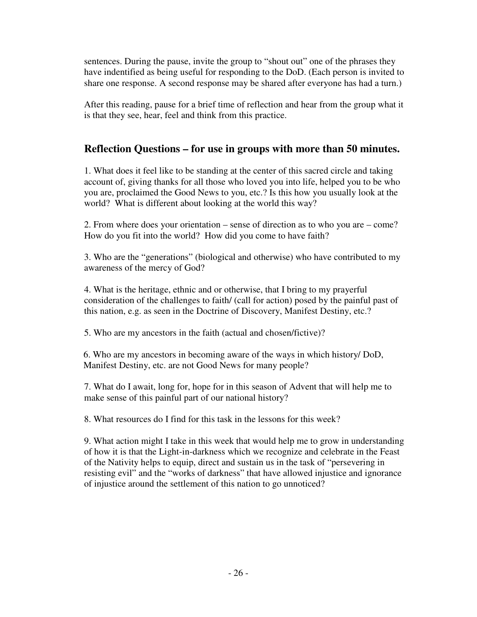sentences. During the pause, invite the group to "shout out" one of the phrases they have indentified as being useful for responding to the DoD. (Each person is invited to share one response. A second response may be shared after everyone has had a turn.)

After this reading, pause for a brief time of reflection and hear from the group what it is that they see, hear, feel and think from this practice.

# **Reflection Questions – for use in groups with more than 50 minutes.**

1. What does it feel like to be standing at the center of this sacred circle and taking account of, giving thanks for all those who loved you into life, helped you to be who you are, proclaimed the Good News to you, etc.? Is this how you usually look at the world? What is different about looking at the world this way?

2. From where does your orientation – sense of direction as to who you are – come? How do you fit into the world? How did you come to have faith?

3. Who are the "generations" (biological and otherwise) who have contributed to my awareness of the mercy of God?

4. What is the heritage, ethnic and or otherwise, that I bring to my prayerful consideration of the challenges to faith/ (call for action) posed by the painful past of this nation, e.g. as seen in the Doctrine of Discovery, Manifest Destiny, etc.?

5. Who are my ancestors in the faith (actual and chosen/fictive)?

6. Who are my ancestors in becoming aware of the ways in which history/ DoD, Manifest Destiny, etc. are not Good News for many people?

7. What do I await, long for, hope for in this season of Advent that will help me to make sense of this painful part of our national history?

8. What resources do I find for this task in the lessons for this week?

9. What action might I take in this week that would help me to grow in understanding of how it is that the Light-in-darkness which we recognize and celebrate in the Feast of the Nativity helps to equip, direct and sustain us in the task of "persevering in resisting evil" and the "works of darkness" that have allowed injustice and ignorance of injustice around the settlement of this nation to go unnoticed?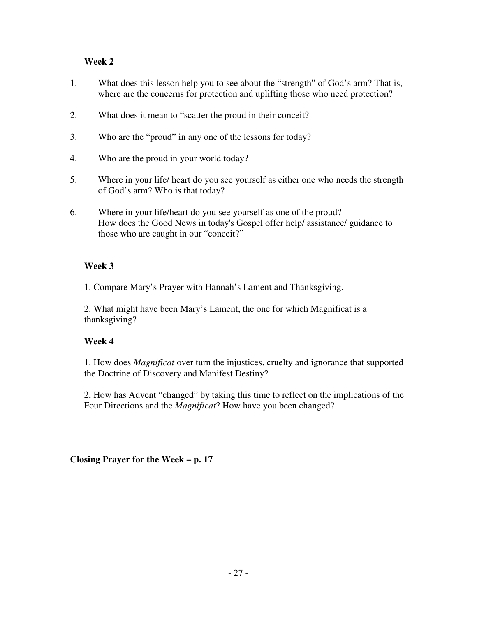## **Week 2**

- 1. What does this lesson help you to see about the "strength" of God's arm? That is, where are the concerns for protection and uplifting those who need protection?
- 2. What does it mean to "scatter the proud in their conceit?
- 3. Who are the "proud" in any one of the lessons for today?
- 4. Who are the proud in your world today?
- 5. Where in your life/ heart do you see yourself as either one who needs the strength of God's arm? Who is that today?
- 6. Where in your life/heart do you see yourself as one of the proud? How does the Good News in today's Gospel offer help/ assistance/ guidance to those who are caught in our "conceit?"

### **Week 3**

1. Compare Mary's Prayer with Hannah's Lament and Thanksgiving.

2. What might have been Mary's Lament, the one for which Magnificat is a thanksgiving?

## **Week 4**

1. How does *Magnificat* over turn the injustices, cruelty and ignorance that supported the Doctrine of Discovery and Manifest Destiny?

2, How has Advent "changed" by taking this time to reflect on the implications of the Four Directions and the *Magnificat*? How have you been changed?

**Closing Prayer for the Week – p. 17**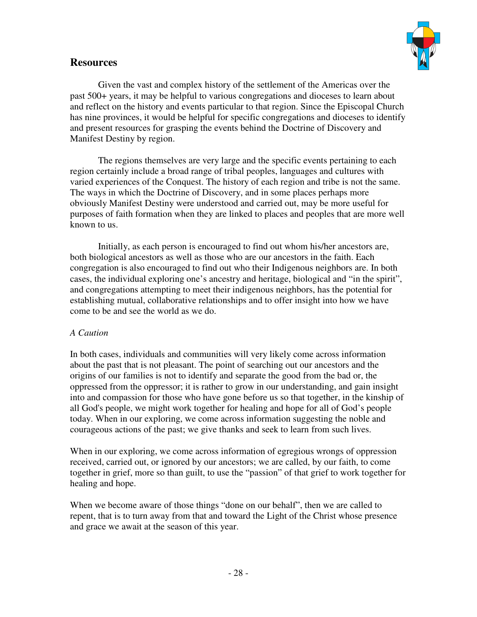



Given the vast and complex history of the settlement of the Americas over the past 500+ years, it may be helpful to various congregations and dioceses to learn about and reflect on the history and events particular to that region. Since the Episcopal Church has nine provinces, it would be helpful for specific congregations and dioceses to identify and present resources for grasping the events behind the Doctrine of Discovery and Manifest Destiny by region.

 The regions themselves are very large and the specific events pertaining to each region certainly include a broad range of tribal peoples, languages and cultures with varied experiences of the Conquest. The history of each region and tribe is not the same. The ways in which the Doctrine of Discovery, and in some places perhaps more obviously Manifest Destiny were understood and carried out, may be more useful for purposes of faith formation when they are linked to places and peoples that are more well known to us.

 Initially, as each person is encouraged to find out whom his/her ancestors are, both biological ancestors as well as those who are our ancestors in the faith. Each congregation is also encouraged to find out who their Indigenous neighbors are. In both cases, the individual exploring one's ancestry and heritage, biological and "in the spirit", and congregations attempting to meet their indigenous neighbors, has the potential for establishing mutual, collaborative relationships and to offer insight into how we have come to be and see the world as we do.

## *A Caution*

In both cases, individuals and communities will very likely come across information about the past that is not pleasant. The point of searching out our ancestors and the origins of our families is not to identify and separate the good from the bad or, the oppressed from the oppressor; it is rather to grow in our understanding, and gain insight into and compassion for those who have gone before us so that together, in the kinship of all God's people, we might work together for healing and hope for all of God's people today. When in our exploring, we come across information suggesting the noble and courageous actions of the past; we give thanks and seek to learn from such lives.

When in our exploring, we come across information of egregious wrongs of oppression received, carried out, or ignored by our ancestors; we are called, by our faith, to come together in grief, more so than guilt, to use the "passion" of that grief to work together for healing and hope.

When we become aware of those things "done on our behalf", then we are called to repent, that is to turn away from that and toward the Light of the Christ whose presence and grace we await at the season of this year.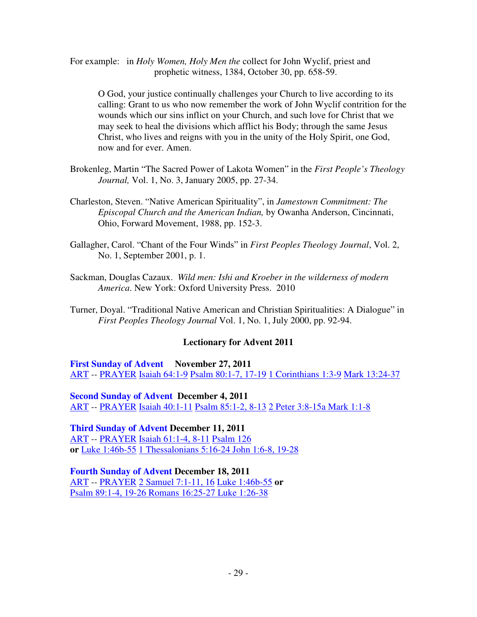For example: in *Holy Women, Holy Men the* collect for John Wyclif, priest and prophetic witness, 1384, October 30, pp. 658-59.

 O God, your justice continually challenges your Church to live according to its calling: Grant to us who now remember the work of John Wyclif contrition for the wounds which our sins inflict on your Church, and such love for Christ that we may seek to heal the divisions which afflict his Body; through the same Jesus Christ, who lives and reigns with you in the unity of the Holy Spirit, one God, now and for ever. Amen.

- Brokenleg, Martin "The Sacred Power of Lakota Women" in the *First People's Theology Journal,* Vol. 1, No. 3, January 2005, pp. 27-34.
- Charleston, Steven. "Native American Spirituality", in *Jamestown Commitment: The Episcopal Church and the American Indian,* by Owanha Anderson, Cincinnati, Ohio, Forward Movement, 1988, pp. 152-3.
- Gallagher, Carol. "Chant of the Four Winds" in *First Peoples Theology Journal*, Vol. 2, No. 1, September 2001, p. 1.
- Sackman, Douglas Cazaux. *Wild men: Ishi and Kroeber in the wilderness of modern America*. New York: Oxford University Press. 2010
- Turner, Doyal. "Traditional Native American and Christian Spiritualities: A Dialogue" in *First Peoples Theology Journal* Vol. 1, No. 1, July 2000, pp. 92-94.

## **Lectionary for Advent 2011**

**First Sunday of Advent November 27, 2011** ART *--* PRAYER Isaiah 64:1-9 Psalm 80:1-7, 17-19 1 Corinthians 1:3-9 Mark 13:24-37

**Second Sunday of Advent December 4, 2011**  ART *--* PRAYER Isaiah 40:1-11 Psalm 85:1-2, 8-13 2 Peter 3:8-15a Mark 1:1-8

**Third Sunday of Advent December 11, 2011** ART *--* PRAYER Isaiah 61:1-4, 8-11 Psalm 126 **or** Luke 1:46b-55 1 Thessalonians 5:16-24 John 1:6-8, 19-28

**Fourth Sunday of Advent December 18, 2011** ART *--* PRAYER 2 Samuel 7:1-11, 16 Luke 1:46b-55 **or** Psalm 89:1-4, 19-26 Romans 16:25-27 Luke 1:26-38